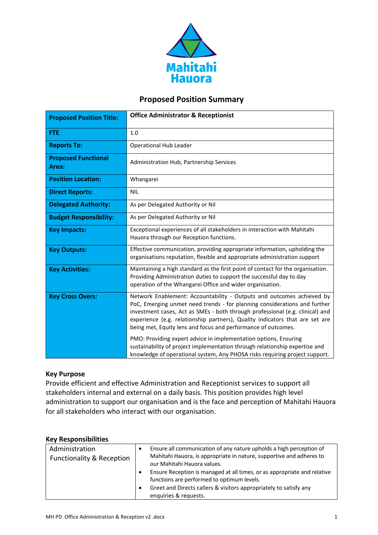

# **Proposed Position Summary**

| <b>Proposed Position Title:</b>     | <b>Office Administrator &amp; Receptionist</b>                                                                                                                                                                                                                                                                                                                                       |  |
|-------------------------------------|--------------------------------------------------------------------------------------------------------------------------------------------------------------------------------------------------------------------------------------------------------------------------------------------------------------------------------------------------------------------------------------|--|
| <b>FTE</b>                          | 1.0                                                                                                                                                                                                                                                                                                                                                                                  |  |
| <b>Reports To:</b>                  | Operational Hub Leader                                                                                                                                                                                                                                                                                                                                                               |  |
| <b>Proposed Functional</b><br>Area: | Administration Hub, Partnership Services                                                                                                                                                                                                                                                                                                                                             |  |
| <b>Position Location:</b>           | Whangarei                                                                                                                                                                                                                                                                                                                                                                            |  |
| <b>Direct Reports:</b>              | <b>NIL</b>                                                                                                                                                                                                                                                                                                                                                                           |  |
| <b>Delegated Authority:</b>         | As per Delegated Authority or Nil                                                                                                                                                                                                                                                                                                                                                    |  |
| <b>Budget Responsibility:</b>       | As per Delegated Authority or Nil                                                                                                                                                                                                                                                                                                                                                    |  |
| <b>Key Impacts:</b>                 | Exceptional experiences of all stakeholders in interaction with Mahitahi<br>Hauora through our Reception functions.                                                                                                                                                                                                                                                                  |  |
| <b>Key Outputs:</b>                 | Effective communication, providing appropriate information, upholding the<br>organisations reputation, flexible and appropriate administration support                                                                                                                                                                                                                               |  |
| <b>Key Activities:</b>              | Maintaining a high standard as the first point of contact for the organisation.<br>Providing Administration duties to support the successful day to day<br>operation of the Whangarei Office and wider organisation.                                                                                                                                                                 |  |
| <b>Key Cross Overs:</b>             | Network Enablement: Accountability - Outputs and outcomes achieved by<br>PoC, Emerging unmet need trends - for planning considerations and further<br>investment cases, Act as SMEs - both through professional (e.g. clinical) and<br>experience (e.g. relationship partners), Quality indicators that are set are<br>being met, Equity lens and focus and performance of outcomes. |  |
|                                     | PMO: Providing expert advice in implementation options, Ensuring<br>sustainability of project implementation through relationship expertise and<br>knowledge of operational system, Any PHOSA risks requiring project support.                                                                                                                                                       |  |

# **Key Purpose**

Provide efficient and effective Administration and Receptionist services to support all stakeholders internal and external on a daily basis. This position provides high level administration to support our organisation and is the face and perception of Mahitahi Hauora for all stakeholders who interact with our organisation.

## **Key Responsibilities**

| Ensure all communication of any nature upholds a high perception of<br>Administration<br>٠<br>Mahitahi Hauora, is appropriate in nature, supportive and adheres to<br><b>Functionality &amp; Reception</b><br>our Mahitahi Hauora values.<br>Ensure Reception is managed at all times, or as appropriate and relative<br>functions are performed to optimum levels.<br>Greet and Directs callers & visitors appropriately to satisfy any<br>٠<br>enquiries & requests. |
|------------------------------------------------------------------------------------------------------------------------------------------------------------------------------------------------------------------------------------------------------------------------------------------------------------------------------------------------------------------------------------------------------------------------------------------------------------------------|
|------------------------------------------------------------------------------------------------------------------------------------------------------------------------------------------------------------------------------------------------------------------------------------------------------------------------------------------------------------------------------------------------------------------------------------------------------------------------|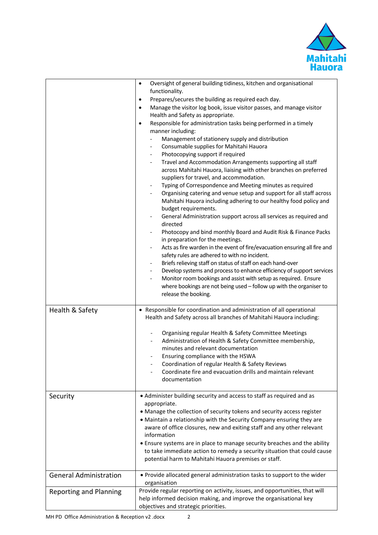

|                               | Oversight of general building tidiness, kitchen and organisational<br>$\bullet$<br>functionality.<br>Prepares/secures the building as required each day.<br>$\bullet$<br>Manage the visitor log book, issue visitor passes, and manage visitor<br>$\bullet$<br>Health and Safety as appropriate.<br>Responsible for administration tasks being performed in a timely<br>$\bullet$<br>manner including:<br>Management of stationery supply and distribution<br>Consumable supplies for Mahitahi Hauora<br>$\overline{\phantom{a}}$<br>Photocopying support if required<br>$\overline{\phantom{a}}$<br>Travel and Accommodation Arrangements supporting all staff<br>$\overline{\phantom{a}}$<br>across Mahitahi Hauora, liaising with other branches on preferred<br>suppliers for travel, and accommodation.<br>Typing of Correspondence and Meeting minutes as required<br>$\overline{\phantom{a}}$<br>Organising catering and venue setup and support for all staff across<br>$\overline{\phantom{a}}$<br>Mahitahi Hauora including adhering to our healthy food policy and<br>budget requirements.<br>General Administration support across all services as required and<br>directed<br>Photocopy and bind monthly Board and Audit Risk & Finance Packs<br>in preparation for the meetings.<br>Acts as fire warden in the event of fire/evacuation ensuring all fire and<br>safety rules are adhered to with no incident.<br>Briefs relieving staff on status of staff on each hand-over<br>$\overline{\phantom{a}}$<br>Develop systems and process to enhance efficiency of support services<br>$\overline{\phantom{a}}$<br>Monitor room bookings and assist with setup as required. Ensure<br>where bookings are not being used - follow up with the organiser to<br>release the booking. |
|-------------------------------|------------------------------------------------------------------------------------------------------------------------------------------------------------------------------------------------------------------------------------------------------------------------------------------------------------------------------------------------------------------------------------------------------------------------------------------------------------------------------------------------------------------------------------------------------------------------------------------------------------------------------------------------------------------------------------------------------------------------------------------------------------------------------------------------------------------------------------------------------------------------------------------------------------------------------------------------------------------------------------------------------------------------------------------------------------------------------------------------------------------------------------------------------------------------------------------------------------------------------------------------------------------------------------------------------------------------------------------------------------------------------------------------------------------------------------------------------------------------------------------------------------------------------------------------------------------------------------------------------------------------------------------------------------------------------------------------------------------------------------------------------------------------------------------------|
| Health & Safety               | • Responsible for coordination and administration of all operational<br>Health and Safety across all branches of Mahitahi Hauora including:<br>Organising regular Health & Safety Committee Meetings<br>Administration of Health & Safety Committee membership,<br>$\overline{\phantom{a}}$<br>minutes and relevant documentation<br>Ensuring compliance with the HSWA<br>Coordination of regular Health & Safety Reviews<br>Coordinate fire and evacuation drills and maintain relevant<br>documentation                                                                                                                                                                                                                                                                                                                                                                                                                                                                                                                                                                                                                                                                                                                                                                                                                                                                                                                                                                                                                                                                                                                                                                                                                                                                                      |
| Security                      | • Administer building security and access to staff as required and as<br>appropriate.<br>• Manage the collection of security tokens and security access register<br>• Maintain a relationship with the Security Company ensuring they are<br>aware of office closures, new and exiting staff and any other relevant<br>information<br>• Ensure systems are in place to manage security breaches and the ability<br>to take immediate action to remedy a security situation that could cause<br>potential harm to Mahitahi Hauora premises or staff.                                                                                                                                                                                                                                                                                                                                                                                                                                                                                                                                                                                                                                                                                                                                                                                                                                                                                                                                                                                                                                                                                                                                                                                                                                            |
| <b>General Administration</b> | • Provide allocated general administration tasks to support to the wider<br>organisation                                                                                                                                                                                                                                                                                                                                                                                                                                                                                                                                                                                                                                                                                                                                                                                                                                                                                                                                                                                                                                                                                                                                                                                                                                                                                                                                                                                                                                                                                                                                                                                                                                                                                                       |
| <b>Reporting and Planning</b> | Provide regular reporting on activity, issues, and opportunities, that will<br>help informed decision making, and improve the organisational key<br>objectives and strategic priorities.                                                                                                                                                                                                                                                                                                                                                                                                                                                                                                                                                                                                                                                                                                                                                                                                                                                                                                                                                                                                                                                                                                                                                                                                                                                                                                                                                                                                                                                                                                                                                                                                       |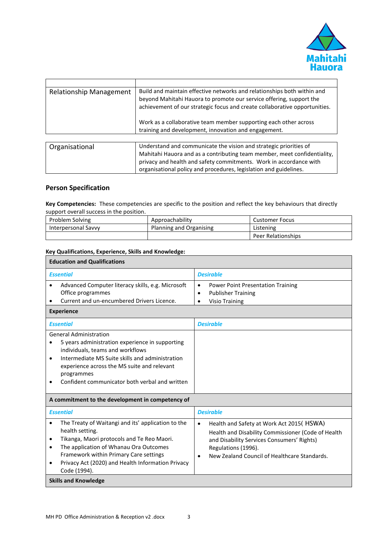

| <b>Relationship Management</b> | Build and maintain effective networks and relationships both within and<br>beyond Mahitahi Hauora to promote our service offering, support the<br>achievement of our strategic focus and create collaborative opportunities. |
|--------------------------------|------------------------------------------------------------------------------------------------------------------------------------------------------------------------------------------------------------------------------|
|                                | Work as a collaborative team member supporting each other across<br>training and development, innovation and engagement.                                                                                                     |
|                                |                                                                                                                                                                                                                              |
| Organisational                 | Understand and communicate the vision and strategic priorities of<br>Mahitahi Hauora and as a contributing team member, meet confidentiality,<br>privacy and health and safety commitments. Work in accordance with          |

## **Person Specification**

**Key Competencies:** These competencies are specific to the position and reflect the key behaviours that directly support overall success in the position.

| Problem Solving     | Approachability         | Customer Focus     |
|---------------------|-------------------------|--------------------|
| Interpersonal Savvy | Planning and Organising | Listening          |
|                     |                         | Peer Relationships |

organisational policy and procedures, legislation and guidelines.

### **Key Qualifications, Experience, Skills and Knowledge:**

| <b>Education and Qualifications</b>                                                                                                                                                                                                                                                                      |                                                                                                                                                                                                                                               |  |  |  |
|----------------------------------------------------------------------------------------------------------------------------------------------------------------------------------------------------------------------------------------------------------------------------------------------------------|-----------------------------------------------------------------------------------------------------------------------------------------------------------------------------------------------------------------------------------------------|--|--|--|
| <b>Essential</b>                                                                                                                                                                                                                                                                                         | <b>Desirable</b>                                                                                                                                                                                                                              |  |  |  |
| Advanced Computer literacy skills, e.g. Microsoft<br>Office programmes<br>Current and un-encumbered Drivers Licence.<br><b>Experience</b>                                                                                                                                                                | <b>Power Point Presentation Training</b><br>$\bullet$<br><b>Publisher Training</b><br>$\bullet$<br><b>Visio Training</b><br>$\bullet$                                                                                                         |  |  |  |
| <b>Essential</b>                                                                                                                                                                                                                                                                                         | <b>Desirable</b>                                                                                                                                                                                                                              |  |  |  |
| <b>General Administration</b><br>5 years administration experience in supporting<br>individuals, teams and workflows<br>Intermediate MS Suite skills and administration<br>$\bullet$<br>experience across the MS suite and relevant<br>programmes<br>Confident communicator both verbal and written      |                                                                                                                                                                                                                                               |  |  |  |
| A commitment to the development in competency of                                                                                                                                                                                                                                                         |                                                                                                                                                                                                                                               |  |  |  |
| <b>Essential</b>                                                                                                                                                                                                                                                                                         | <b>Desirable</b>                                                                                                                                                                                                                              |  |  |  |
| The Treaty of Waitangi and its' application to the<br>$\bullet$<br>health setting.<br>Tikanga, Maori protocols and Te Reo Maori.<br>٠<br>The application of Whanau Ora Outcomes<br>٠<br>Framework within Primary Care settings<br>Privacy Act (2020) and Health Information Privacy<br>٠<br>Code (1994). | Health and Safety at Work Act 2015(HSWA)<br>$\bullet$<br>Health and Disability Commissioner (Code of Health<br>and Disability Services Consumers' Rights)<br>Regulations (1996).<br>New Zealand Council of Healthcare Standards.<br>$\bullet$ |  |  |  |
| <b>Skills and Knowledge</b>                                                                                                                                                                                                                                                                              |                                                                                                                                                                                                                                               |  |  |  |